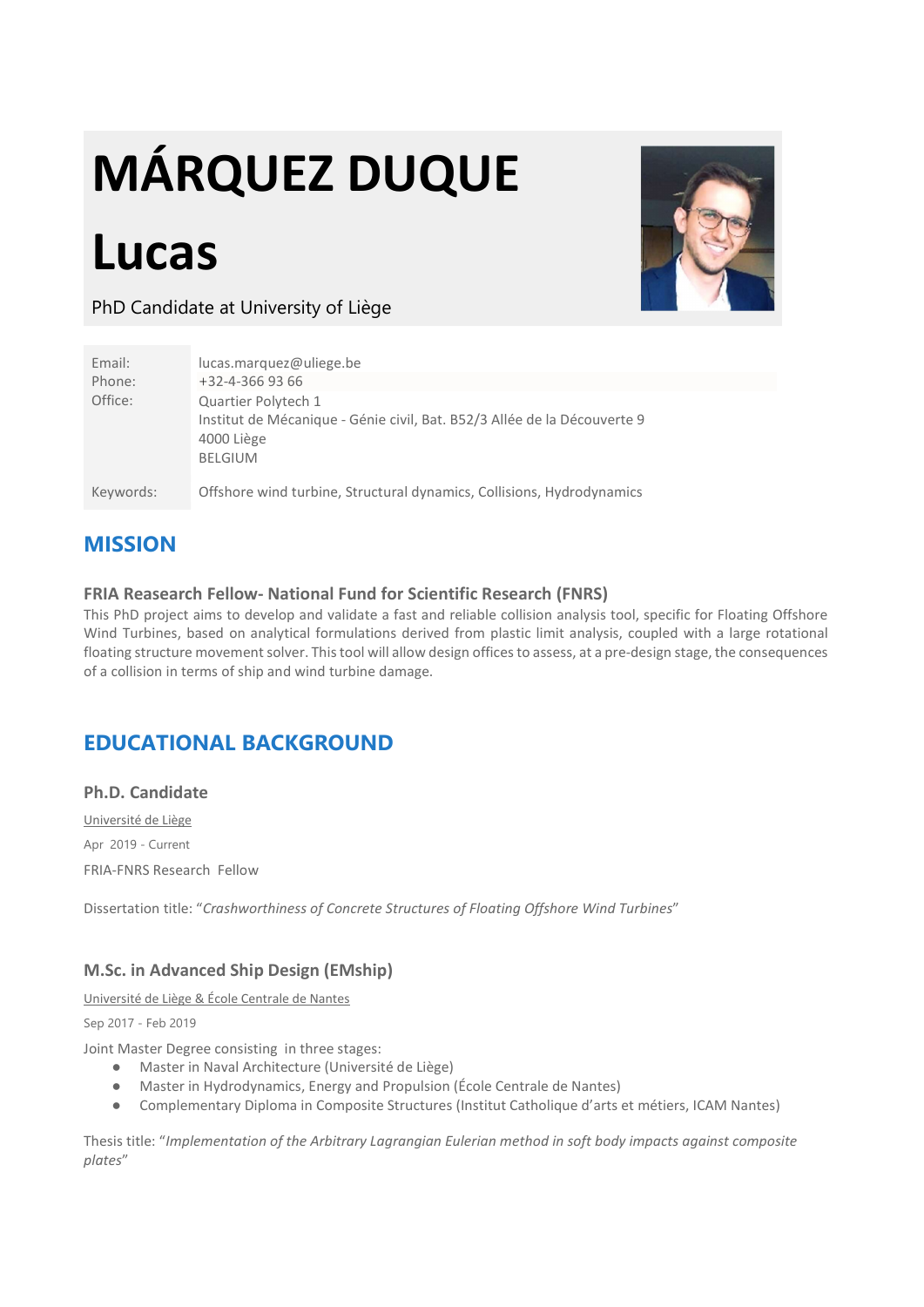# MÁRQUEZ DUQUE

# Lucas



PhD Candidate at University of Liège

| Email:<br>Phone: | lucas.marquez@uliege.be<br>+32-4-366 93 66                                                                                      |
|------------------|---------------------------------------------------------------------------------------------------------------------------------|
| Office:          | Quartier Polytech 1<br>Institut de Mécanique - Génie civil, Bat. B52/3 Allée de la Découverte 9<br>4000 Liège<br><b>BELGIUM</b> |
| Keywords:        | Offshore wind turbine, Structural dynamics, Collisions, Hydrodynamics                                                           |

# MISSION

#### FRIA Reasearch Fellow- National Fund for Scientific Research (FNRS)

This PhD project aims to develop and validate a fast and reliable collision analysis tool, specific for Floating Offshore Wind Turbines, based on analytical formulations derived from plastic limit analysis, coupled with a large rotational floating structure movement solver. This tool will allow design offices to assess, at a pre-design stage, the consequences of a collision in terms of ship and wind turbine damage.

# EDUCATIONAL BACKGROUND

#### Ph.D. Candidate

Université de Liège Apr 2019 - Current FRIA-FNRS Research Fellow

Dissertation title: "Crashworthiness of Concrete Structures of Floating Offshore Wind Turbines"

#### M.Sc. in Advanced Ship Design (EMship)

Université de Liège & École Centrale de Nantes

Sep 2017 - Feb 2019

Joint Master Degree consisting in three stages:

- Master in Naval Architecture (Université de Liège)
- Master in Hydrodynamics, Energy and Propulsion (École Centrale de Nantes)
- Complementary Diploma in Composite Structures (Institut Catholique d'arts et métiers, ICAM Nantes)

Thesis title: "Implementation of the Arbitrary Lagrangian Eulerian method in soft body impacts against composite plates"